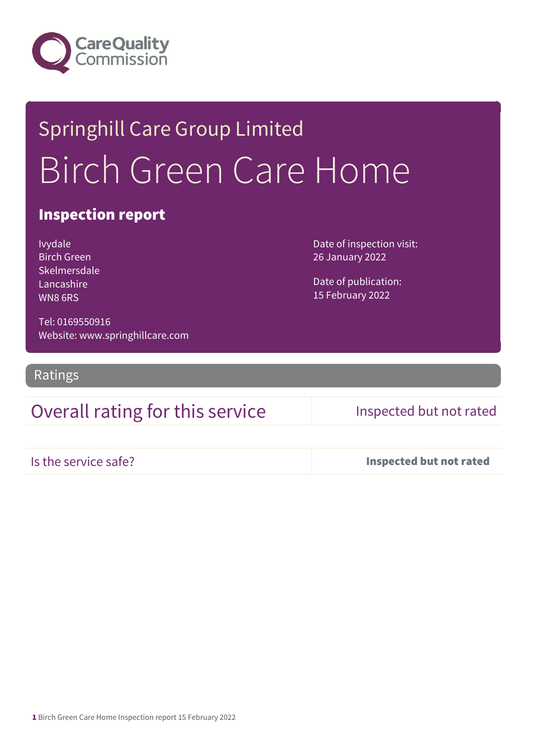

# Springhill Care Group Limited Birch Green Care Home

## Inspection report

Ivydale Birch Green Skelmersdale Lancashire WN8 6RS

Date of inspection visit: 26 January 2022

Date of publication: 15 February 2022

Tel: 0169550916 Website: www.springhillcare.com

Ratings

## Overall rating for this service Inspected but not rated

Is the service safe? Inspected but not rated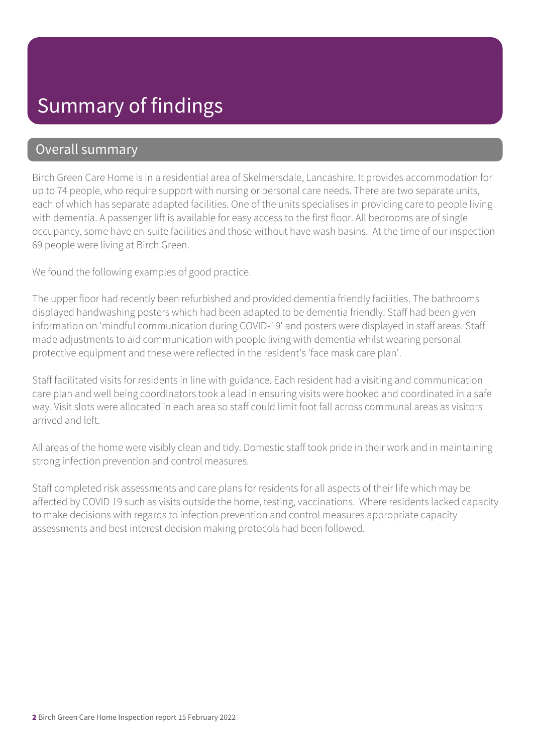# Summary of findings

### Overall summary

Birch Green Care Home is in a residential area of Skelmersdale, Lancashire. It provides accommodation for up to 74 people, who require support with nursing or personal care needs. There are two separate units, each of which has separate adapted facilities. One of the units specialises in providing care to people living with dementia. A passenger lift is available for easy access to the first floor. All bedrooms are of single occupancy, some have en-suite facilities and those without have wash basins. At the time of our inspection 69 people were living at Birch Green.

We found the following examples of good practice.

The upper floor had recently been refurbished and provided dementia friendly facilities. The bathrooms displayed handwashing posters which had been adapted to be dementia friendly. Staff had been given information on 'mindful communication during COVID-19' and posters were displayed in staff areas. Staff made adjustments to aid communication with people living with dementia whilst wearing personal protective equipment and these were reflected in the resident's 'face mask care plan'.

Staff facilitated visits for residents in line with guidance. Each resident had a visiting and communication care plan and well being coordinators took a lead in ensuring visits were booked and coordinated in a safe way. Visit slots were allocated in each area so staff could limit foot fall across communal areas as visitors arrived and left.

All areas of the home were visibly clean and tidy. Domestic staff took pride in their work and in maintaining strong infection prevention and control measures.

Staff completed risk assessments and care plans for residents for all aspects of their life which may be affected by COVID 19 such as visits outside the home, testing, vaccinations. Where residents lacked capacity to make decisions with regards to infection prevention and control measures appropriate capacity assessments and best interest decision making protocols had been followed.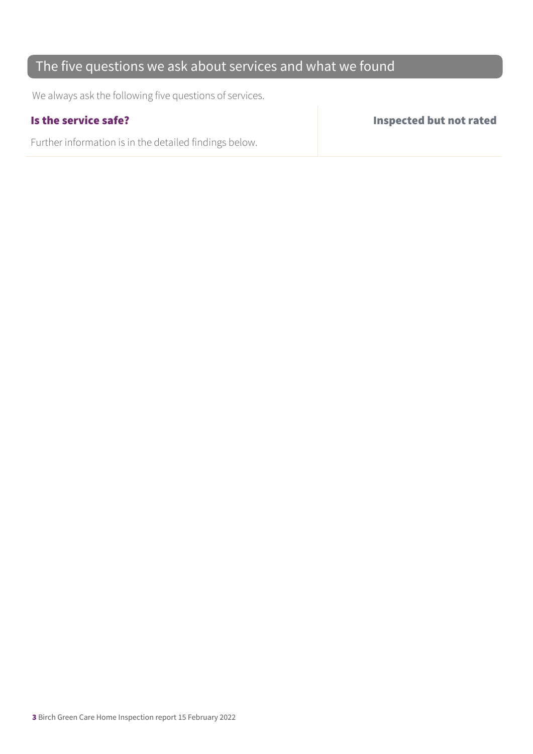## The five questions we ask about services and what we found

We always ask the following five questions of services.

Further information is in the detailed findings below.

Is the service safe? Inspected but not rated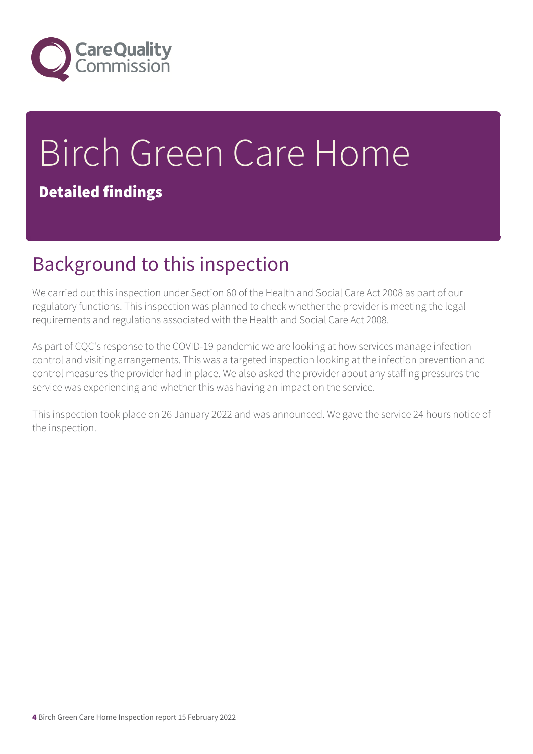

# Birch Green Care Home

## Detailed findings

# Background to this inspection

We carried out this inspection under Section 60 of the Health and Social Care Act 2008 as part of our regulatory functions. This inspection was planned to check whether the provider is meeting the legal requirements and regulations associated with the Health and Social Care Act 2008.

As part of CQC's response to the COVID-19 pandemic we are looking at how services manage infection control and visiting arrangements. This was a targeted inspection looking at the infection prevention and control measures the provider had in place. We also asked the provider about any staffing pressures the service was experiencing and whether this was having an impact on the service.

This inspection took place on 26 January 2022 and was announced. We gave the service 24 hours notice of the inspection.